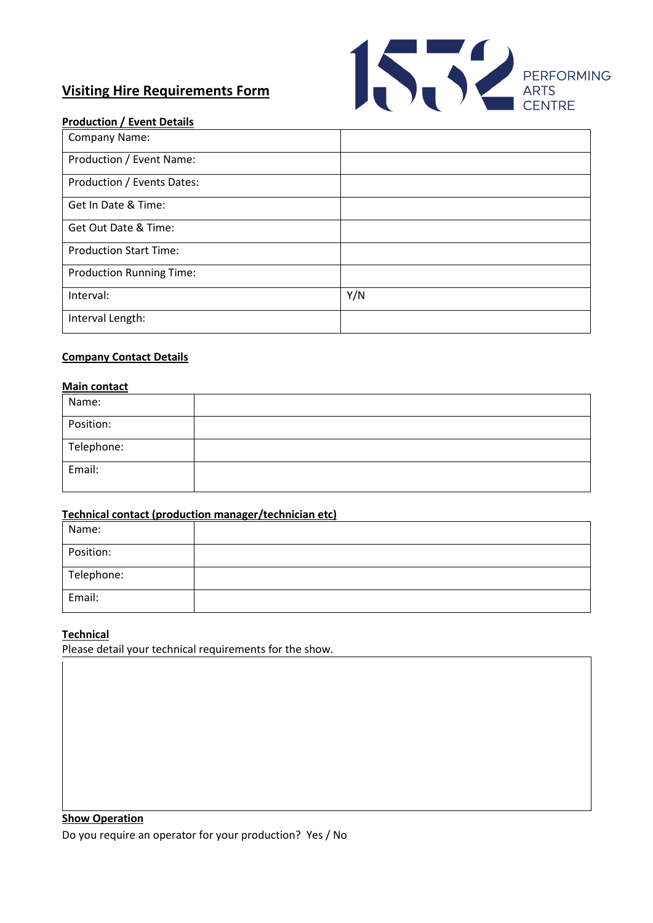# **Visiting Hire Requirements Form**



## **Production / Event Details**

| Company Name:                   |     |
|---------------------------------|-----|
| Production / Event Name:        |     |
| Production / Events Dates:      |     |
| Get In Date & Time:             |     |
| Get Out Date & Time:            |     |
| <b>Production Start Time:</b>   |     |
| <b>Production Running Time:</b> |     |
| Interval:                       | Y/N |
| Interval Length:                |     |

## **Company Contact Details**

#### **Main contact**

| Name:      |  |
|------------|--|
| Position:  |  |
| Telephone: |  |
| Email:     |  |

#### **Technical contact (production manager/technician etc)**

| Name:      |  |
|------------|--|
| Position:  |  |
| Telephone: |  |
| Email:     |  |

# **Technical**

Please detail your technical requirements for the show.